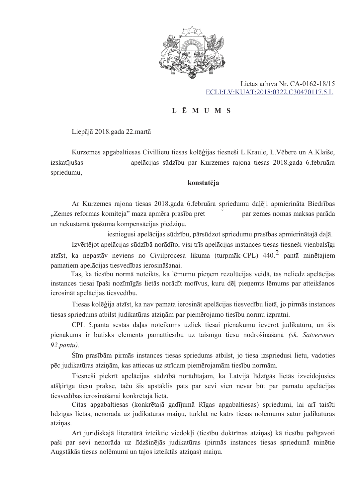

Lietas arhīva Nr. CA-0162-18/15 ECLI:LV:KUAT:2018:0322.C30470117.5.L

## L Ē M U M S

Liepājā 2018.gada 22.martā

Kurzemes apgabaltiesas Civillietu tiesas kolēģijas tiesneši L.Kraule, L.Vēbere un A.Klaiše, izskatījušas apelācijas sūdzību par Kurzemes rajona tiesas 2018.gada 6.februāra spriedumu.

## konstatēja

Ar Kurzemes rajona tiesas 2018.gada 6.februāra spriedumu daļēji apmierināta Biedrības "Zemes reformas komiteja" maza apmēra prasība pret par zemes nomas maksas parāda un nekustamā īpašuma kompensācijas piedziņu.

iesniegusi apelācijas sūdzību, pārsūdzot spriedumu prasības apmierinātajā daļā.

Izvērtējot apelācijas sūdzībā norādīto, visi trīs apelācijas instances tiesas tiesneši vienbalsīgi atzīst, ka nepastāv neviens no Civilprocesa likuma (turpmāk-CPL)  $440<sup>2</sup>$  pantā minētaiiem pamatiem apelācijas tiesvedības ierosināšanai.

Tas, ka tiesību normā noteikts, ka lēmumu pieņem rezolūcijas veidā, tas neliedz apelācijas instances tiesai īpaši nozīmīgās lietās norādīt motīvus, kuru dēļ pieņemts lēmums par atteikšanos ierosināt apelācijas tiesvedību.

Tiesas kolēģija atzīst, ka nav pamata ierosināt apelācijas tiesvedību lietā, jo pirmās instances tiesas spriedums atbilst judikatūras atzinām par piemērojamo tiesību normu izpratni.

CPL 5.panta sestās daļas noteikums uzliek tiesai pienākumu ievērot judikatūru, un šis pienākums ir būtisks elements pamattiesību uz taisnīgu tiesu nodrošināšanā (sk. Satversmes  $92$ .pantu).

Šīm prasībām pirmās instances tiesas spriedums atbilst, jo tiesa izspriedusi lietu, vadoties pēc judikatūras atziņām, kas attiecas uz strīdam piemērojamām tiesību normām.

Tiesneši piekrīt apelācijas sūdzībā norādītajam, ka Latvijā līdzīgās lietās izveidojusies atšķirīga tiesu prakse, taču šis apstāklis pats par sevi vien nevar būt par pamatu apelācijas tiesvedības ierosināšanai konkrētajā lietā.

Citas apgabaltiesas (konkrētajā gadījumā Rīgas apgabaltiesas) spriedumi, lai arī taisīti līdzīgās lietās, nenorāda uz judikatūras maiņu, turklāt ne katrs tiesas nolēmums satur judikatūras atziņas.

Arī juridiskajā literatūrā izteiktie viedokļi (tiesību doktrīnas atziņas) kā tiesību palīgavoti paši par sevi nenorāda uz līdzšinējās judikatūras (pirmās instances tiesas spriedumā minētie Augstākās tiesas nolēmumi un tajos izteiktās atziņas) maiņu.